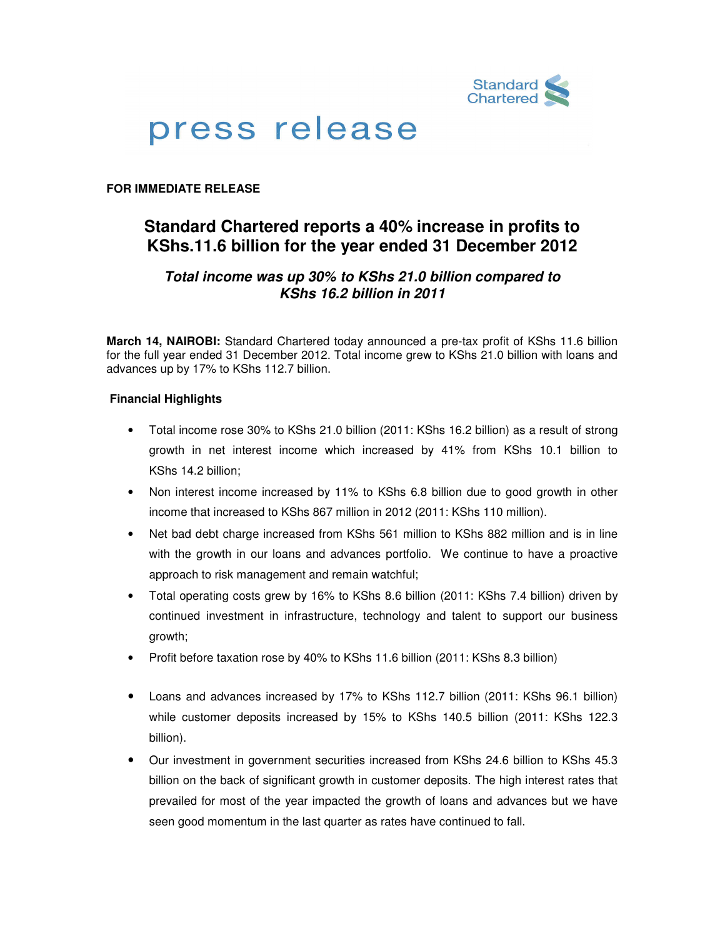

# press release

## **FOR IMMEDIATE RELEASE**

## **Standard Chartered reports a 40% increase in profits to KShs.11.6 billion for the year ended 31 December 2012**

## **Total income was up 30% to KShs 21.0 billion compared to KShs 16.2 billion in 2011**

**March 14, NAIROBI:** Standard Chartered today announced a pre-tax profit of KShs 11.6 billion for the full year ended 31 December 2012. Total income grew to KShs 21.0 billion with loans and advances up by 17% to KShs 112.7 billion.

## **Financial Highlights**

- Total income rose 30% to KShs 21.0 billion (2011: KShs 16.2 billion) as a result of strong growth in net interest income which increased by 41% from KShs 10.1 billion to KShs 14.2 billion;
- Non interest income increased by 11% to KShs 6.8 billion due to good growth in other income that increased to KShs 867 million in 2012 (2011: KShs 110 million).
- Net bad debt charge increased from KShs 561 million to KShs 882 million and is in line with the growth in our loans and advances portfolio. We continue to have a proactive approach to risk management and remain watchful;
- Total operating costs grew by 16% to KShs 8.6 billion (2011: KShs 7.4 billion) driven by continued investment in infrastructure, technology and talent to support our business growth;
- Profit before taxation rose by 40% to KShs 11.6 billion (2011: KShs 8.3 billion)
- Loans and advances increased by 17% to KShs 112.7 billion (2011: KShs 96.1 billion) while customer deposits increased by 15% to KShs 140.5 billion (2011: KShs 122.3 billion).
- Our investment in government securities increased from KShs 24.6 billion to KShs 45.3 billion on the back of significant growth in customer deposits. The high interest rates that prevailed for most of the year impacted the growth of loans and advances but we have seen good momentum in the last quarter as rates have continued to fall.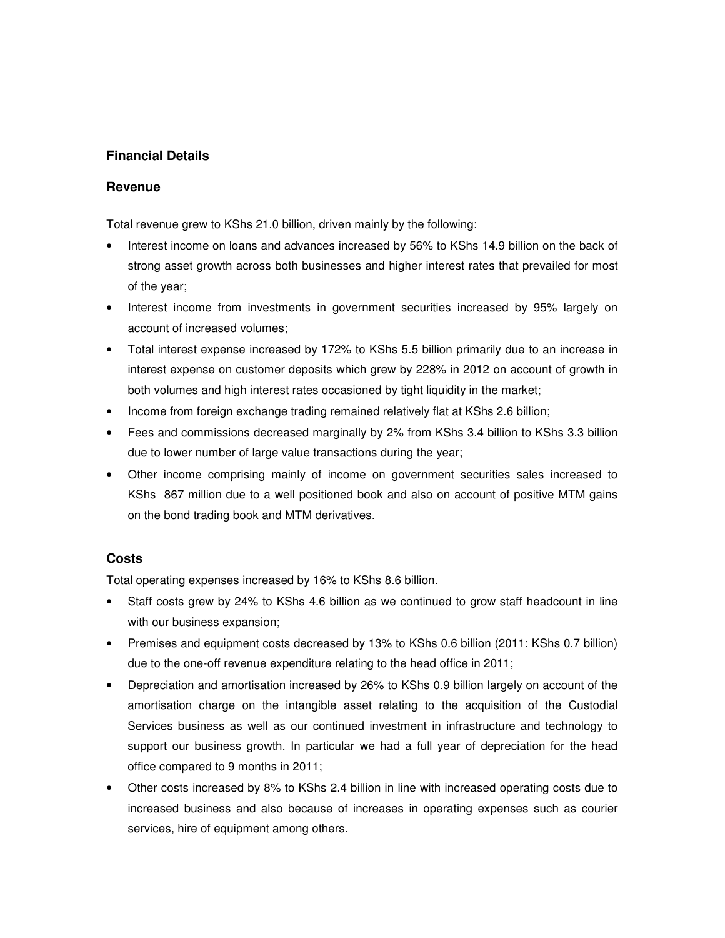## **Financial Details**

#### **Revenue**

Total revenue grew to KShs 21.0 billion, driven mainly by the following:

- Interest income on loans and advances increased by 56% to KShs 14.9 billion on the back of strong asset growth across both businesses and higher interest rates that prevailed for most of the year;
- Interest income from investments in government securities increased by 95% largely on account of increased volumes;
- Total interest expense increased by 172% to KShs 5.5 billion primarily due to an increase in interest expense on customer deposits which grew by 228% in 2012 on account of growth in both volumes and high interest rates occasioned by tight liquidity in the market;
- Income from foreign exchange trading remained relatively flat at KShs 2.6 billion;
- Fees and commissions decreased marginally by 2% from KShs 3.4 billion to KShs 3.3 billion due to lower number of large value transactions during the year;
- Other income comprising mainly of income on government securities sales increased to KShs 867 million due to a well positioned book and also on account of positive MTM gains on the bond trading book and MTM derivatives.

## **Costs**

Total operating expenses increased by 16% to KShs 8.6 billion.

- Staff costs grew by 24% to KShs 4.6 billion as we continued to grow staff headcount in line with our business expansion;
- Premises and equipment costs decreased by 13% to KShs 0.6 billion (2011: KShs 0.7 billion) due to the one-off revenue expenditure relating to the head office in 2011;
- Depreciation and amortisation increased by 26% to KShs 0.9 billion largely on account of the amortisation charge on the intangible asset relating to the acquisition of the Custodial Services business as well as our continued investment in infrastructure and technology to support our business growth. In particular we had a full year of depreciation for the head office compared to 9 months in 2011;
- Other costs increased by 8% to KShs 2.4 billion in line with increased operating costs due to increased business and also because of increases in operating expenses such as courier services, hire of equipment among others.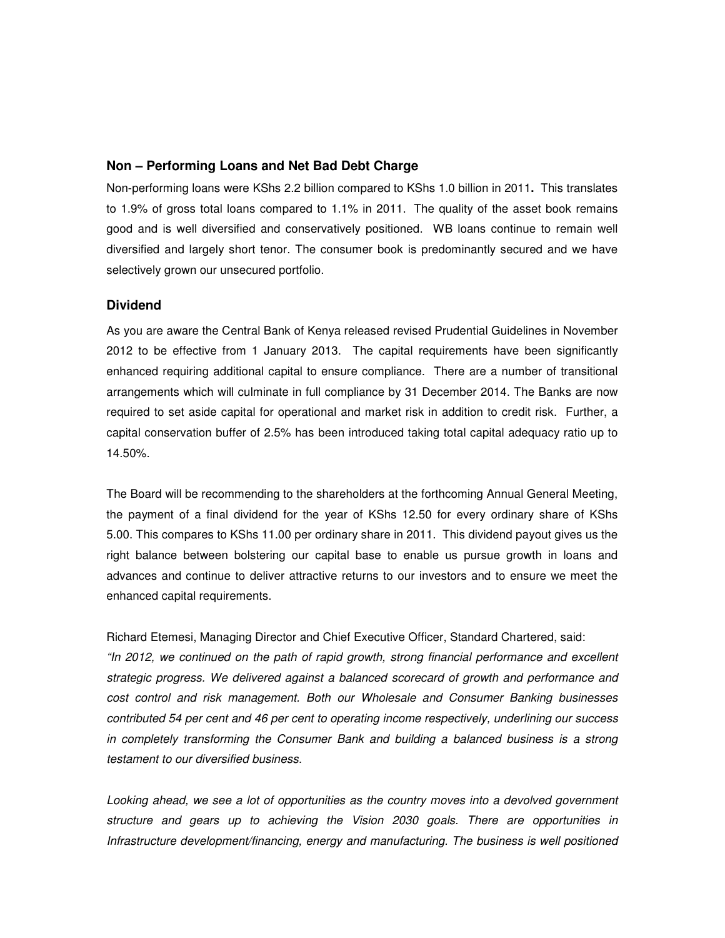#### **Non – Performing Loans and Net Bad Debt Charge**

Non-performing loans were KShs 2.2 billion compared to KShs 1.0 billion in 2011**.** This translates to 1.9% of gross total loans compared to 1.1% in 2011. The quality of the asset book remains good and is well diversified and conservatively positioned. WB loans continue to remain well diversified and largely short tenor. The consumer book is predominantly secured and we have selectively grown our unsecured portfolio.

## **Dividend**

As you are aware the Central Bank of Kenya released revised Prudential Guidelines in November 2012 to be effective from 1 January 2013. The capital requirements have been significantly enhanced requiring additional capital to ensure compliance. There are a number of transitional arrangements which will culminate in full compliance by 31 December 2014. The Banks are now required to set aside capital for operational and market risk in addition to credit risk. Further, a capital conservation buffer of 2.5% has been introduced taking total capital adequacy ratio up to 14.50%.

The Board will be recommending to the shareholders at the forthcoming Annual General Meeting, the payment of a final dividend for the year of KShs 12.50 for every ordinary share of KShs 5.00. This compares to KShs 11.00 per ordinary share in 2011.This dividend payout gives us the right balance between bolstering our capital base to enable us pursue growth in loans and advances and continue to deliver attractive returns to our investors and to ensure we meet the enhanced capital requirements.

Richard Etemesi, Managing Director and Chief Executive Officer, Standard Chartered, said: "In 2012, we continued on the path of rapid growth, strong financial performance and excellent strategic progress. We delivered against a balanced scorecard of growth and performance and cost control and risk management. Both our Wholesale and Consumer Banking businesses contributed 54 per cent and 46 per cent to operating income respectively, underlining our success in completely transforming the Consumer Bank and building a balanced business is a strong testament to our diversified business.

Looking ahead, we see a lot of opportunities as the country moves into a devolved government structure and gears up to achieving the Vision 2030 goals. There are opportunities in Infrastructure development/financing, energy and manufacturing. The business is well positioned